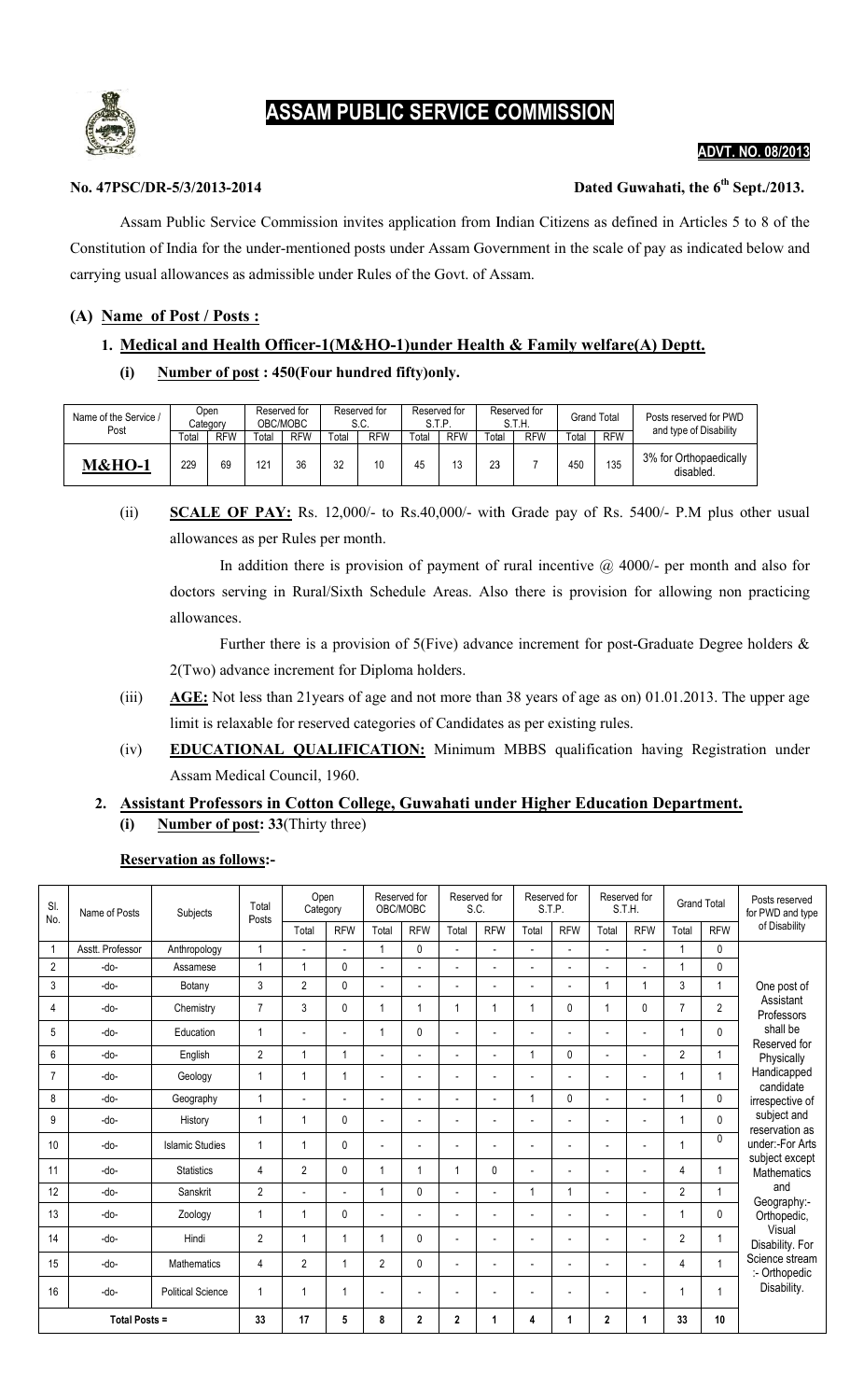# Ş

## ASSAM PUBLIC SERVICE COMMISSION

## ADVT. NO. ADVT. 08/2013

## No. 47PSC/DR-5/3/2013-2014 2014

## Dated Guwahati, the 6<sup>th</sup> Sept./2013.

Assam Public Service Commission invites application from Indian Citizens as defined in Articles 5 to 8 of the Assam Public Service Commission invites application from Indian Citizens as defined in Articles 5 to 8 of the<br>Constitution of India for the under-mentioned posts under Assam Government in the scale of pay as indicated belo carrying usual allowances as admissible under Rules of the Govt. of Assam.

## (A) Name of Post / Posts:

## 1. Medical and Health Officer-1(M&HO-1)under Health & Family welfare(A) Deptt.

## (i) Number of post: 450(Four hundred fifty)only.

| Name of the Service /<br>Post | Dpen<br>Category |            | Reserved for<br>OBC/MOBC |            | Reserved for<br>S.C. |            | Reserved for<br>S.T.P. |            |       | Reserved for<br>S.T.H. | <b>Grand Total</b> |            | Posts reserved for PWD<br>and type of Disability |  |
|-------------------------------|------------------|------------|--------------------------|------------|----------------------|------------|------------------------|------------|-------|------------------------|--------------------|------------|--------------------------------------------------|--|
|                               | Total            | <b>RFW</b> | Total                    | <b>RFW</b> | $\tau$ otal          | <b>RFW</b> | Total                  | <b>RFW</b> | Total | <b>RFW</b>             | $\tau$ otal        | <b>RFW</b> |                                                  |  |
| <b>M&amp;HO-1</b>             | 229              | 69         | 121                      | 36         | 32                   | 10         | 45                     | 13         | 23    |                        | 450                | 135        | 3% for Orthopaedically<br>disabled.              |  |

## (ii) **SCALE OF PAY:** Rs. 12,000/- to Rs.40,000/- with Grade pay of Rs. 5400/- P.M plus other usual allowances as as per Rules per month.

In addition there is provision of payment of rural incentive  $\omega$  4000/- per month and also for doctors serving in Rural/Sixth Schedule Areas. Also there is provision for allowing non practicing allowances. In addition there is provision of payment of rural incentive @ 4000/- per month and also for doctors serving in Rural/Sixth Schedule Areas. Also there is provision for allowing non practicing allowances.<br>
Further there is

2(Two) advance increment for Diploma holders.

- (iii)  $\overline{\text{AGE:}}$  Not less than 21 years of age and not more than 38 years of age as on) 01.01.2013. The upper age limit is relaxable for reserved categories of Candidates as per existing rules.
- limit is relaxable for reserved categories of Candidates as per existing rules.<br>(iv) EDUCATIONAL QUALIFICATION: Minimum MBBS qualification having Registration under Assam Medical Council, 1960.

## 2. Assistant Professors in Cotton College, Guwahati under Higher Education Department.  $(i)$  Number of post: 33(Thirty three)

## Reservation as follows:-

| SI.<br>No.           | Name of Posts    | Subjects                 | Total<br>Posts | Open<br>Category         |                | Reserved for<br>OBC/MOBC |                          | Reserved for<br>S.C.     |                | Reserved for<br>S.T.P.   |                          | Reserved for<br>S.T.H.   |                | <b>Grand Total</b> |              | Posts reserved<br>for PWD and type                                                                                                                                                                                                                                                                                                   |  |
|----------------------|------------------|--------------------------|----------------|--------------------------|----------------|--------------------------|--------------------------|--------------------------|----------------|--------------------------|--------------------------|--------------------------|----------------|--------------------|--------------|--------------------------------------------------------------------------------------------------------------------------------------------------------------------------------------------------------------------------------------------------------------------------------------------------------------------------------------|--|
|                      |                  |                          |                | Total                    | <b>RFW</b>     | Total                    | <b>RFW</b>               | Total                    | <b>RFW</b>     | Total                    | <b>RFW</b>               | Total                    | <b>RFW</b>     | Total              | <b>RFW</b>   | of Disability                                                                                                                                                                                                                                                                                                                        |  |
| $\mathbf{1}$         | Asstt. Professor | Anthropology             | $\overline{1}$ | $\overline{a}$           | $\overline{a}$ | 1                        | 0                        | $\overline{a}$           | $\overline{a}$ |                          |                          |                          | $\overline{a}$ | $\overline{1}$     | $\mathbf{0}$ | 0<br>$\overline{1}$<br>One post of<br>Assistant<br>$\overline{2}$<br>Professors<br>shall be<br>$\mathbf{0}$<br>Reserved for<br>1<br>Physically<br>Handicapped<br>1<br>candidate<br>0<br>irrespective of<br>subject and<br>$\Omega$<br>reservation as<br>$\mathbf{0}$<br>under:-For Arts<br>subject except<br>1<br><b>Mathematics</b> |  |
| $\overline{2}$       | -do-             | Assamese                 | и              | $\overline{1}$           | 0              |                          |                          |                          | $\overline{a}$ |                          |                          |                          |                |                    |              |                                                                                                                                                                                                                                                                                                                                      |  |
| 3                    | -do-             | Botany                   | 3              | $\overline{2}$           | 0              | $\overline{a}$           | $\overline{a}$           | $\overline{\phantom{a}}$ | $\overline{a}$ | $\overline{a}$           |                          | 1                        |                | 3                  |              |                                                                                                                                                                                                                                                                                                                                      |  |
| 4                    | -do-             | Chemistry                | $\overline{7}$ | 3                        | 0              | 1                        | 1                        | 1                        | -1             | 1                        | 0                        | 1                        | $\mathbf{0}$   | $\overline{7}$     |              |                                                                                                                                                                                                                                                                                                                                      |  |
| 5                    | -do-             | Education                |                | $\overline{\phantom{a}}$ | $\overline{a}$ | 1                        | 0                        |                          | $\overline{a}$ |                          |                          |                          |                |                    |              |                                                                                                                                                                                                                                                                                                                                      |  |
| 6                    | -do-             | English                  | $\overline{2}$ | $\mathbf{1}$             | 1              | $\overline{a}$           | $\overline{a}$           | $\overline{\phantom{a}}$ | $\overline{a}$ | 1                        | 0                        | $\overline{\phantom{a}}$ | $\overline{a}$ | $\overline{2}$     |              |                                                                                                                                                                                                                                                                                                                                      |  |
| 7                    | -do-             | Geology                  | 1              | $\overline{1}$           | 1              | $\overline{a}$           | $\overline{\phantom{a}}$ | $\overline{a}$           | L.             | L.                       |                          |                          | $\overline{a}$ |                    |              |                                                                                                                                                                                                                                                                                                                                      |  |
| 8                    | -do-             | Geography                | 1              | $\overline{a}$           | $\overline{a}$ | $\overline{a}$           | $\overline{a}$           | $\overline{a}$           | $\overline{a}$ | $\overline{1}$           | 0                        |                          | $\overline{a}$ |                    |              |                                                                                                                                                                                                                                                                                                                                      |  |
| 9                    | -do-             | History                  | $\overline{1}$ | $\overline{1}$           | 0              | $\overline{a}$           | $\overline{a}$           | $\overline{\phantom{a}}$ | $\overline{a}$ | $\overline{\phantom{a}}$ | $\overline{\phantom{a}}$ | $\overline{a}$           | $\overline{a}$ |                    |              |                                                                                                                                                                                                                                                                                                                                      |  |
| 10                   | -do-             | <b>Islamic Studies</b>   |                | $\overline{1}$           | 0              | $\overline{a}$           | $\overline{\phantom{a}}$ |                          | $\overline{a}$ | $\overline{\phantom{a}}$ | $\overline{a}$           |                          | $\overline{a}$ |                    |              |                                                                                                                                                                                                                                                                                                                                      |  |
| 11                   | $-do-$           | <b>Statistics</b>        | 4              | $\overline{2}$           | 0              | 1                        | 1                        | $\overline{1}$           | 0              |                          | $\overline{\phantom{0}}$ |                          |                | 4                  |              |                                                                                                                                                                                                                                                                                                                                      |  |
| 12                   | $-do-$           | Sanskrit                 | $\overline{2}$ | $\overline{a}$           | $\overline{a}$ | 1                        | 0                        | $\overline{a}$           | $\overline{a}$ | $\overline{1}$           | 1                        | $\overline{a}$           | $\overline{a}$ | $\overline{2}$     | 1            | and                                                                                                                                                                                                                                                                                                                                  |  |
| 13                   | -do-             | Zoology                  |                | $\overline{1}$           | 0              | Ĭ.                       |                          |                          |                |                          |                          |                          | $\overline{a}$ |                    | 0            | Geography:-<br>Orthopedic,<br>Visual<br>Disability. For<br>Science stream<br>:- Orthopedic                                                                                                                                                                                                                                           |  |
| 14                   | -do-             | Hindi                    | $\overline{2}$ | $\overline{1}$           |                | $\overline{1}$           | 0                        | $\overline{a}$           | $\overline{a}$ | ÷,                       | $\overline{\phantom{a}}$ |                          | $\overline{a}$ | $\overline{2}$     | 1            |                                                                                                                                                                                                                                                                                                                                      |  |
| 15                   | -do-             | Mathematics              | 4              | $\overline{2}$           |                | $\overline{2}$           | 0                        | $\overline{a}$           | $\overline{a}$ | $\overline{\phantom{a}}$ | $\overline{\phantom{a}}$ | $\overline{a}$           | $\overline{a}$ | 4                  | 1            |                                                                                                                                                                                                                                                                                                                                      |  |
| 16                   | $-do-$           | <b>Political Science</b> |                | $\overline{1}$           |                | $\overline{a}$           | $\blacksquare$           |                          | ٠              | $\overline{\phantom{a}}$ | $\overline{\phantom{a}}$ |                          | $\overline{a}$ |                    |              | Disability.                                                                                                                                                                                                                                                                                                                          |  |
| <b>Total Posts =</b> |                  | 33                       | 17             | 5                        | 8              | $\mathbf 2$              | $\mathbf{2}$             | 1                        | 4              | 1                        | 2                        |                          | 33             | 10                 |              |                                                                                                                                                                                                                                                                                                                                      |  |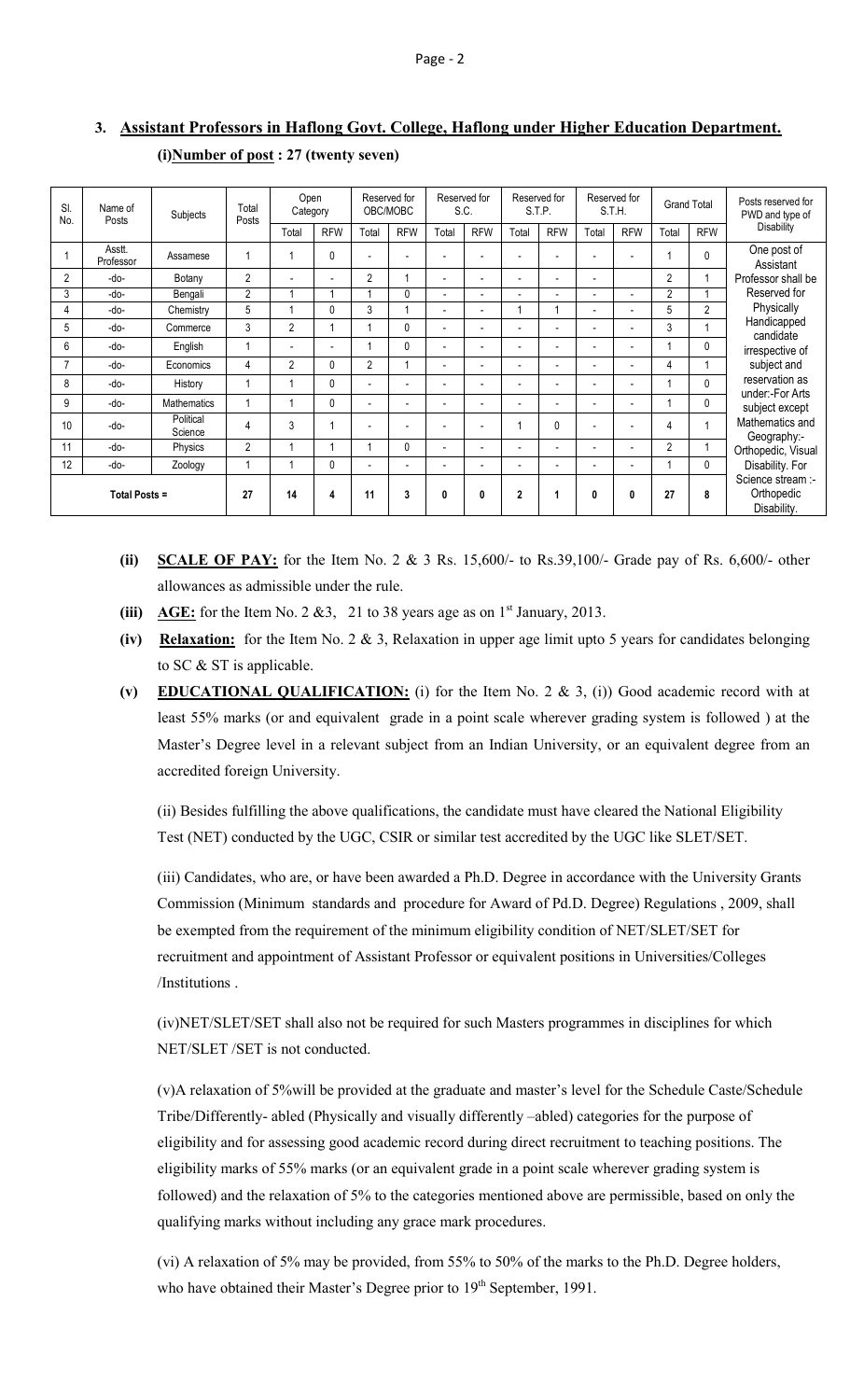| <sub>SI</sub><br>Name of<br>No.<br>Posts | Subjects            | Total<br>Posts       | Open<br>Category |                | Reserved for<br>OBC/MOBC |                          | Reserved for<br>S.C.     |                          | Reserved for<br>S.T.P.   |                          | Reserved for<br>S.T.H.   |                          | <b>Grand Total</b>       |                | Posts reserved for<br>PWD and type of          |                                                                                                                                                                                                                                                           |
|------------------------------------------|---------------------|----------------------|------------------|----------------|--------------------------|--------------------------|--------------------------|--------------------------|--------------------------|--------------------------|--------------------------|--------------------------|--------------------------|----------------|------------------------------------------------|-----------------------------------------------------------------------------------------------------------------------------------------------------------------------------------------------------------------------------------------------------------|
|                                          |                     |                      |                  | Total          | <b>RFW</b>               | Total                    | <b>RFW</b>               | Total                    | <b>RFW</b>               | Total                    | <b>RFW</b>               | Total                    | <b>RFW</b>               | Total          | <b>RFW</b>                                     | <b>Disability</b>                                                                                                                                                                                                                                         |
|                                          | Asstt.<br>Professor | Assamese             |                  |                | $\mathbf{0}$             |                          | $\overline{\phantom{a}}$ | $\blacksquare$           |                          | ۰                        |                          | $\overline{\phantom{a}}$ | $\overline{\phantom{a}}$ |                | $\Omega$                                       | One post of<br>Assistant<br>Professor shall be<br>Reserved for<br>Physically<br>Handicapped<br>candidate<br>irrespective of<br>subject and<br>reservation as<br>under:-For Arts<br>subject except<br>Mathematics and<br>Geography:-<br>Orthopedic, Visual |
| 2                                        | -do-                | Botany               | $\overline{2}$   |                | $\overline{a}$           | $\overline{2}$           |                          | $\overline{\phantom{a}}$ |                          | $\overline{a}$           |                          | $\overline{a}$           |                          | $\overline{2}$ |                                                |                                                                                                                                                                                                                                                           |
| 3                                        | -do-                | Bengali              | $\overline{2}$   |                |                          |                          | $\mathbf{0}$             | $\overline{\phantom{a}}$ |                          | ۰                        |                          | $\overline{a}$           | $\overline{\phantom{a}}$ | $\overline{2}$ |                                                |                                                                                                                                                                                                                                                           |
| 4                                        | -do-                | Chemistry            | 5                |                | 0                        | 3                        |                          | $\overline{\phantom{a}}$ |                          |                          |                          | $\overline{a}$           | $\overline{\phantom{a}}$ | 5              | $\overline{2}$                                 |                                                                                                                                                                                                                                                           |
| 5                                        | -do-                | Commerce             | 3                | $\overline{2}$ |                          |                          | $\mathbf{0}$             | $\overline{\phantom{a}}$ | $\overline{\phantom{a}}$ | $\overline{\phantom{a}}$ | $\blacksquare$           | $\overline{a}$           | $\overline{\phantom{a}}$ | 3              |                                                |                                                                                                                                                                                                                                                           |
| 6                                        | -do-                | English              |                  |                | $\overline{\phantom{a}}$ |                          | $\mathbf{0}$             | $\overline{\phantom{a}}$ | $\overline{\phantom{a}}$ | $\overline{\phantom{a}}$ |                          | $\overline{a}$           | $\overline{\phantom{a}}$ |                | 0                                              |                                                                                                                                                                                                                                                           |
| $\overline{7}$                           | -do-                | Economics            | 4                | $\mathfrak{p}$ | $\mathbf{0}$             | $\overline{2}$           |                          | $\overline{\phantom{a}}$ |                          | $\overline{\phantom{0}}$ | $\overline{\phantom{a}}$ | $\overline{\phantom{a}}$ | $\overline{\phantom{a}}$ | 4              |                                                |                                                                                                                                                                                                                                                           |
| 8                                        | -do-                | History              |                  |                | $\mathbf{0}$             | $\overline{\phantom{a}}$ | $\overline{\phantom{a}}$ | $\overline{\phantom{a}}$ | $\overline{\phantom{a}}$ | $\blacksquare$           | $\overline{\phantom{a}}$ | $\overline{a}$           | $\overline{\phantom{a}}$ |                | 0                                              |                                                                                                                                                                                                                                                           |
| 9                                        | -do-                | <b>Mathematics</b>   |                  |                | $\mathbf{0}$             |                          | $\overline{\phantom{a}}$ | $\overline{\phantom{a}}$ |                          | ۰                        |                          | $\overline{a}$           | $\overline{\phantom{a}}$ |                | 0                                              |                                                                                                                                                                                                                                                           |
| 10                                       | -do-                | Political<br>Science | 4                | 3              |                          |                          | $\overline{\phantom{a}}$ |                          |                          |                          | $\Omega$                 | $\overline{\phantom{a}}$ |                          | 4              | $\overline{ }$                                 |                                                                                                                                                                                                                                                           |
| 11                                       | -do-                | Physics              | $\overline{2}$   |                |                          |                          | 0                        | $\overline{\phantom{a}}$ | $\overline{\phantom{a}}$ | $\overline{\phantom{a}}$ | $\overline{\phantom{a}}$ | $\overline{\phantom{a}}$ | $\overline{\phantom{a}}$ | $\overline{2}$ |                                                |                                                                                                                                                                                                                                                           |
| 12                                       | -do-                | Zoology              |                  |                | $\mathbf{0}$             |                          | $\overline{\phantom{a}}$ | $\overline{\phantom{a}}$ |                          | $\overline{\phantom{a}}$ | $\overline{\phantom{a}}$ | $\overline{\phantom{a}}$ | $\overline{\phantom{a}}$ |                | $\mathbf{0}$                                   | Disability. For                                                                                                                                                                                                                                           |
| <b>Total Posts =</b>                     |                     | 27                   | 14               | 4              | 11                       | 3                        | 0                        | $\mathbf{0}$             | $\overline{2}$           |                          | 0                        | 0                        | 27                       | 8              | Science stream :-<br>Orthopedic<br>Disability. |                                                                                                                                                                                                                                                           |

## 3. Assistant Professors in Haflong Govt. College, Haflong under Higher Education Department. (i)Number of post : 27 (twenty seven)

- (ii) SCALE OF PAY: for the Item No. 2 & 3 Rs. 15,600/- to Rs. 39,100/- Grade pay of Rs. 6,600/- other allowances as admissible under the rule.
- (iii) AGE: for the Item No. 2 & 3, 21 to 38 years age as on  $1<sup>st</sup>$  January, 2013.
- (iv) Relaxation: for the Item No. 2  $\&$  3, Relaxation in upper age limit upto 5 years for candidates belonging to SC & ST is applicable.
- (v) EDUCATIONAL QUALIFICATION: (i) for the Item No. 2 & 3, (i)) Good academic record with at least 55% marks (or and equivalent grade in a point scale wherever grading system is followed ) at the Master's Degree level in a relevant subject from an Indian University, or an equivalent degree from an accredited foreign University.

(ii) Besides fulfilling the above qualifications, the candidate must have cleared the National Eligibility Test (NET) conducted by the UGC, CSIR or similar test accredited by the UGC like SLET/SET.

(iii) Candidates, who are, or have been awarded a Ph.D. Degree in accordance with the University Grants Commission (Minimum standards and procedure for Award of Pd.D. Degree) Regulations , 2009, shall be exempted from the requirement of the minimum eligibility condition of NET/SLET/SET for recruitment and appointment of Assistant Professor or equivalent positions in Universities/Colleges /Institutions .

(iv)NET/SLET/SET shall also not be required for such Masters programmes in disciplines for which NET/SLET /SET is not conducted.

(v)A relaxation of 5%will be provided at the graduate and master's level for the Schedule Caste/Schedule Tribe/Differently- abled (Physically and visually differently –abled) categories for the purpose of eligibility and for assessing good academic record during direct recruitment to teaching positions. The eligibility marks of 55% marks (or an equivalent grade in a point scale wherever grading system is followed) and the relaxation of 5% to the categories mentioned above are permissible, based on only the qualifying marks without including any grace mark procedures.

(vi) A relaxation of 5% may be provided, from 55% to 50% of the marks to the Ph.D. Degree holders, who have obtained their Master's Degree prior to 19<sup>th</sup> September, 1991.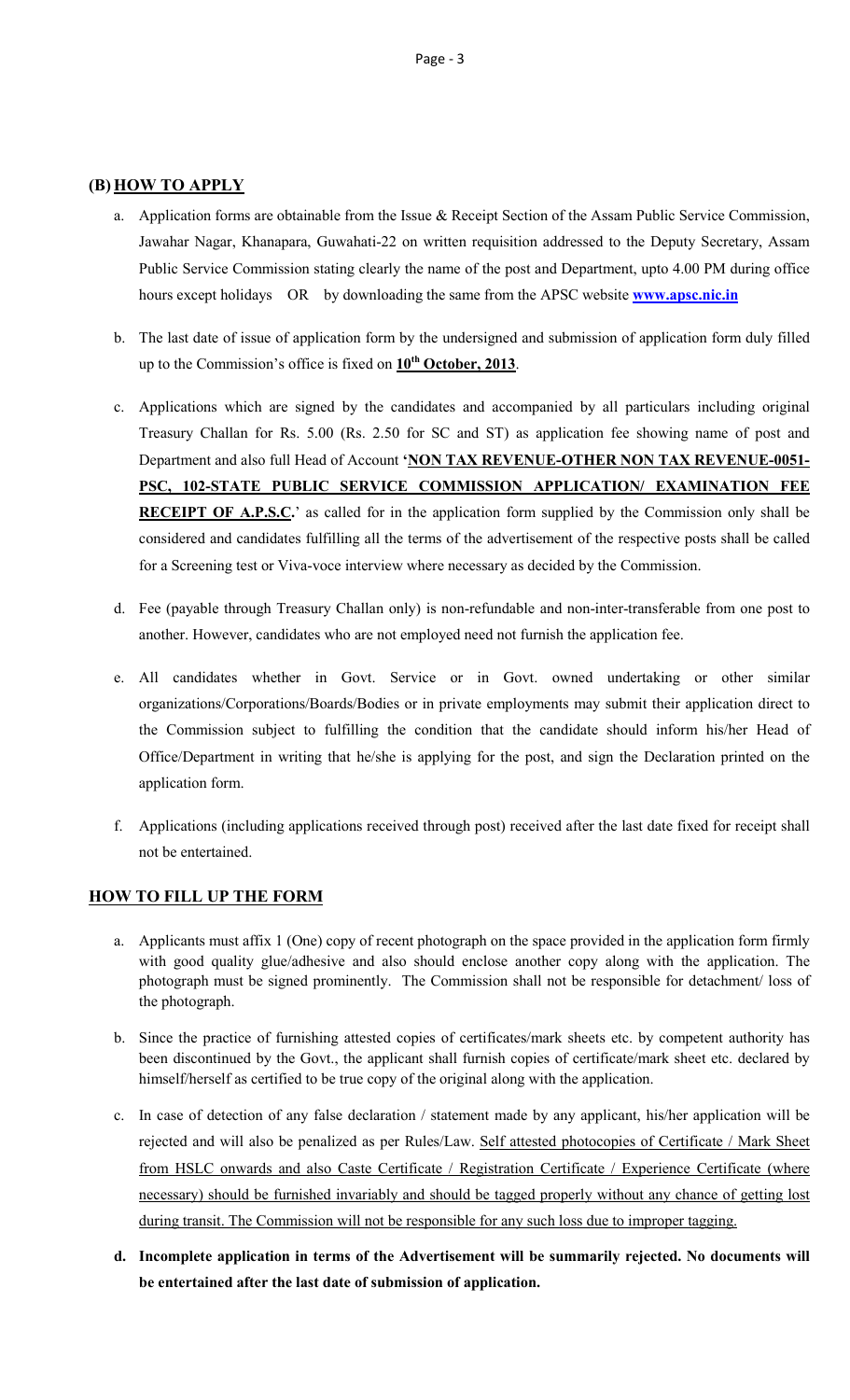## (B) HOW TO APPLY

- a. Application forms are obtainable from the Issue & Receipt Section of the Assam Public Service Commission, Jawahar Nagar, Khanapara, Guwahati-22 on written requisition addressed to the Deputy Secretary, Assam Public Service Commission stating clearly the name of the post and Department, upto 4.00 PM during office hours except holidays OR by downloading the same from the APSC website **www.apsc.nic.in**
- b. The last date of issue of application form by the undersigned and submission of application form duly filled up to the Commission's office is fixed on  $10^{th}$  October, 2013.
- c. Applications which are signed by the candidates and accompanied by all particulars including original Treasury Challan for Rs. 5.00 (Rs. 2.50 for SC and ST) as application fee showing name of post and Department and also full Head of Account 'NON TAX REVENUE-OTHER NON TAX REVENUE-0051-PSC, 102-STATE PUBLIC SERVICE COMMISSION APPLICATION/ EXAMINATION FEE **RECEIPT OF A.P.S.C.'** as called for in the application form supplied by the Commission only shall be considered and candidates fulfilling all the terms of the advertisement of the respective posts shall be called for a Screening test or Viva-voce interview where necessary as decided by the Commission.
- d. Fee (payable through Treasury Challan only) is non-refundable and non-inter-transferable from one post to another. However, candidates who are not employed need not furnish the application fee.
- e. All candidates whether in Govt. Service or in Govt. owned undertaking or other similar organizations/Corporations/Boards/Bodies or in private employments may submit their application direct to the Commission subject to fulfilling the condition that the candidate should inform his/her Head of Office/Department in writing that he/she is applying for the post, and sign the Declaration printed on the application form.
- f. Applications (including applications received through post) received after the last date fixed for receipt shall not be entertained.

## HOW TO FILL UP THE FORM

- a. Applicants must affix 1 (One) copy of recent photograph on the space provided in the application form firmly with good quality glue/adhesive and also should enclose another copy along with the application. The photograph must be signed prominently. The Commission shall not be responsible for detachment/ loss of the photograph.
- b. Since the practice of furnishing attested copies of certificates/mark sheets etc. by competent authority has been discontinued by the Govt., the applicant shall furnish copies of certificate/mark sheet etc. declared by himself/herself as certified to be true copy of the original along with the application.
- c. In case of detection of any false declaration / statement made by any applicant, his/her application will be rejected and will also be penalized as per Rules/Law. Self attested photocopies of Certificate / Mark Sheet from HSLC onwards and also Caste Certificate / Registration Certificate / Experience Certificate (where necessary) should be furnished invariably and should be tagged properly without any chance of getting lost during transit. The Commission will not be responsible for any such loss due to improper tagging.
- d. Incomplete application in terms of the Advertisement will be summarily rejected. No documents will be entertained after the last date of submission of application.